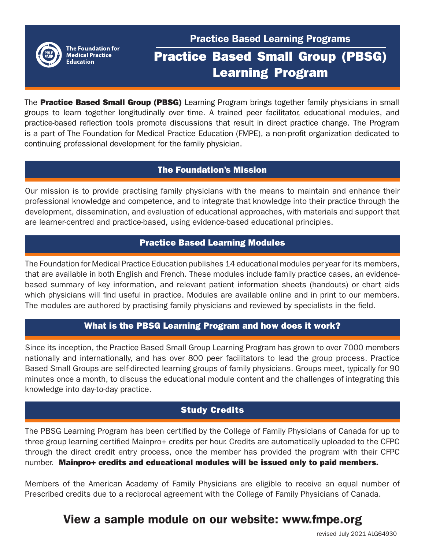

The Foundation for **Medical Practice Education** 

# Practice Based Learning Programs

## Practice Based Small Group (PBSG) Learning Program

The Practice Based Small Group (PBSG) Learning Program brings together family physicians in small groups to learn together longitudinally over time. A trained peer facilitator, educational modules, and practice-based reflection tools promote discussions that result in direct practice change. The Program is a part of The Foundation for Medical Practice Education (FMPE), a non-profit organization dedicated to continuing professional development for the family physician.

### The Foundation's Mission

Our mission is to provide practising family physicians with the means to maintain and enhance their professional knowledge and competence, and to integrate that knowledge into their practice through the development, dissemination, and evaluation of educational approaches, with materials and support that are learner-centred and practice-based, using evidence-based educational principles.

### Practice Based Learning Modules

The Foundation for Medical Practice Education publishes 14 educational modules per year for its members, that are available in both English and French. These modules include family practice cases, an evidencebased summary of key information, and relevant patient information sheets (handouts) or chart aids which physicians will find useful in practice. Modules are available online and in print to our members. The modules are authored by practising family physicians and reviewed by specialists in the field.

### What is the PBSG Learning Program and how does it work?

Since its inception, the Practice Based Small Group Learning Program has grown to over 7000 members nationally and internationally, and has over 800 peer facilitators to lead the group process. Practice Based Small Groups are self-directed learning groups of family physicians. Groups meet, typically for 90 minutes once a month, to discuss the educational module content and the challenges of integrating this knowledge into day-to-day practice.

### Study Credits

The PBSG Learning Program has been certified by the College of Family Physicians of Canada for up to three group learning certified Mainpro+ credits per hour. Credits are automatically uploaded to the CFPC through the direct credit entry process, once the member has provided the program with their CFPC number. Mainpro+ credits and educational modules will be issued only to paid members.

Members of the American Academy of Family Physicians are eligible to receive an equal number of Prescribed credits due to a reciprocal agreement with the College of Family Physicians of Canada.

## View a sample module on our website: www.fmpe.org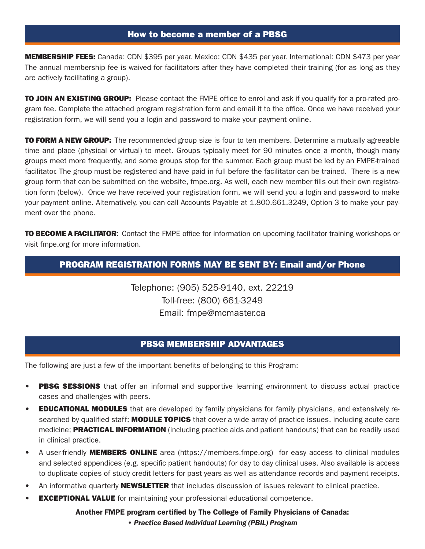MEMBERSHIP FEES: Canada: CDN \$395 per year. Mexico: CDN \$435 per year. International: CDN \$473 per year The annual membership fee is waived for facilitators after they have completed their training (for as long as they are actively facilitating a group).

**TO JOIN AN EXISTING GROUP:** Please contact the FMPE office to enrol and ask if you qualify for a pro-rated program fee. Complete the attached program registration form and email it to the office. Once we have received your registration form, we will send you a login and password to make your payment online.

**TO FORM A NEW GROUP:** The recommended group size is four to ten members. Determine a mutually agreeable time and place (physical or virtual) to meet. Groups typically meet for 90 minutes once a month, though many groups meet more frequently, and some groups stop for the summer. Each group must be led by an FMPE-trained facilitator. The group must be registered and have paid in full before the facilitator can be trained. There is a new group form that can be submitted on the website, fmpe.org. As well, each new member fills out their own registration form (below). Once we have received your registration form, we will send you a login and password to make your payment online. Alternatively, you can call Accounts Payable at 1.800.661.3249, Option 3 to make your payment over the phone.

**TO BECOME A FACILITATOR:** Contact the FMPE office for information on upcoming facilitator training workshops or visit fmpe.org for more information.

### PROGRAM REGISTRATION FORMS MAY BE SENT BY: Email and/or Phone

Telephone: (905) 525-9140, ext. 22219 Toll-free: (800) 661-3249 Email: fmpe@mcmaster.ca

#### PBSG MEMBERSHIP ADVANTAGES

The following are just a few of the important benefits of belonging to this Program:

l.

- **PBSG SESSIONS** that offer an informal and supportive learning environment to discuss actual practice cases and challenges with peers.
- **EDUCATIONAL MODULES** that are developed by family physicians for family physicians, and extensively researched by qualified staff; **MODULE TOPICS** that cover a wide array of practice issues, including acute care medicine; **PRACTICAL INFORMATION** (including practice aids and patient handouts) that can be readily used in clinical practice.
- A user-friendly **MEMBERS ONLINE** area (https://members.fmpe.org) for easy access to clinical modules and selected appendices (e.g. specific patient handouts) for day to day clinical uses. Also available is access to duplicate copies of study credit letters for past years as well as attendance records and payment receipts.
- An informative quarterly **NEWSLETTER** that includes discussion of issues relevant to clinical practice.
- **EXCEPTIONAL VALUE** for maintaining your professional educational competence.

#### Another FMPE program certified by The College of Family Physicians of Canada: *• Practice Based Individual Learning (PBIL) Program*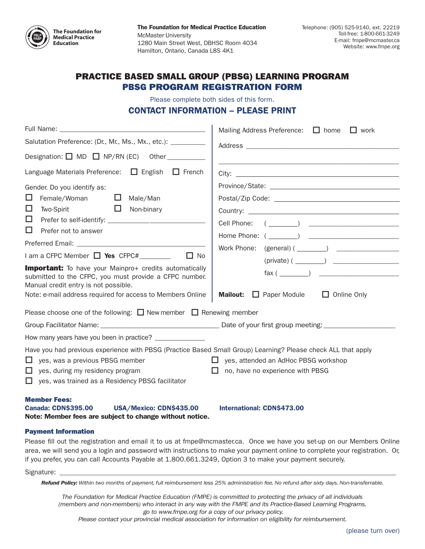

The Foundation for Medical Practice Education McMaster University 1280 Main Street West, DBHSC Room 4034 Hamilton, Ontario, Canada L8S 4K1

#### PRACTICE BASED SMALL GROUP (PBSG) LEARNING PROGRAM PBSG PROGRAM REGISTRATION FORM

Please complete both sides of this form.

#### CONTACT INFORMATION – PLEASE PRINT

|                                                                                                                                                                                                                                                                                                                                                                                                                                                                    | Mailing Address Preference: $\Box$ home $\Box$ work                                                                                                                                         |  |  |
|--------------------------------------------------------------------------------------------------------------------------------------------------------------------------------------------------------------------------------------------------------------------------------------------------------------------------------------------------------------------------------------------------------------------------------------------------------------------|---------------------------------------------------------------------------------------------------------------------------------------------------------------------------------------------|--|--|
| Salutation Preference: (Dr., Mr., Ms., Mx., etc.): _________                                                                                                                                                                                                                                                                                                                                                                                                       |                                                                                                                                                                                             |  |  |
| Designation: $\Box$ MD $\Box$ NP/RN (EC) Other                                                                                                                                                                                                                                                                                                                                                                                                                     |                                                                                                                                                                                             |  |  |
| Language Materials Preference: $\Box$ English<br>$\Box$ French                                                                                                                                                                                                                                                                                                                                                                                                     |                                                                                                                                                                                             |  |  |
| Gender. Do you identify as:<br>Female/Woman $\square$<br>$\Box$<br>Male/Man<br>$\Box$<br>$\Box$<br>Two-Spirit<br>Non-binary<br>$\Box$<br>□<br>Prefer not to answer<br>$I$ am a CFPC Member $\Box$ Yes CFPC# ________<br>$\Box$ No<br><b>Important:</b> To have your Mainpro+ credits automatically<br>submitted to the CFPC, you must provide a CFPC number.<br>Manual credit entry is not possible.<br>Note: e-mail address required for access to Members Online | Cell Phone:<br>$\begin{pmatrix} 1 & 1 & 1 \\ 1 & 1 & 1 \\ 1 & 1 & 1 \end{pmatrix}$<br>$(\text{private})$ ( $\_\_\_\_\_\_\_\_\$<br><b>Mailout:</b> $\Box$ Paper Module<br>$\Box$ Online Only |  |  |
| Please choose one of the following: $\Box$ New member $\Box$ Renewing member                                                                                                                                                                                                                                                                                                                                                                                       |                                                                                                                                                                                             |  |  |
|                                                                                                                                                                                                                                                                                                                                                                                                                                                                    |                                                                                                                                                                                             |  |  |
|                                                                                                                                                                                                                                                                                                                                                                                                                                                                    |                                                                                                                                                                                             |  |  |
| Have you had previous experience with PBSG (Practice Based Small Group) Learning? Please check ALL that apply<br>$\Box$ yes, attended an AdHoc PBSG workshop<br>yes, was a previous PBSG member<br>ш<br>no, have no experience with PBSG<br>yes, during my residency program<br>$\Box$<br>Ш<br>yes, was trained as a Residency PBSG facilitator<br>LΙ                                                                                                              |                                                                                                                                                                                             |  |  |
| <b>Member Fees:</b><br>USA/Mexico: CDN\$435.00<br><b>Canada: CDN\$395.00</b>                                                                                                                                                                                                                                                                                                                                                                                       | <b>International: CDN\$473.00</b>                                                                                                                                                           |  |  |

Note: Member fees are subject to change without notice.

#### Payment Information

Please fill out the registration and email it to us at fmpe@mcmaster.ca. Once we have you set-up on our Members Online area, we will send you a login and password with instructions to make your payment online to complete your registration. Or, if you prefer, you can call Accounts Payable at 1.800.661.3249, Option 3 to make your payment securely.

Signature: \_\_\_\_\_\_\_\_\_\_\_\_\_\_\_\_\_\_\_\_\_\_\_\_\_\_\_\_\_\_\_\_\_\_\_\_\_\_\_\_\_\_\_\_\_\_\_\_\_\_\_\_\_\_\_\_\_\_\_\_\_\_\_\_\_\_\_\_\_\_\_\_\_\_\_\_\_\_\_\_\_\_\_\_\_\_\_\_\_\_\_\_\_\_\_\_\_

*Refund Policy: Within two months of payment, full reimbursement less 25% administration fee. No refund after sixty days. Non-transferrable.*

*The Foundation for Medical Practice Education (FMPE) is committed to protecting the privacy of all individuals (members and non-members) who interact in any way with the FMPE and its Practice-Based Learning Programs. go to www.fmpe.org for a copy of our privacy policy. Please contact your provincial medical association for information on eligibility for reimbursement.*

(please turn over)